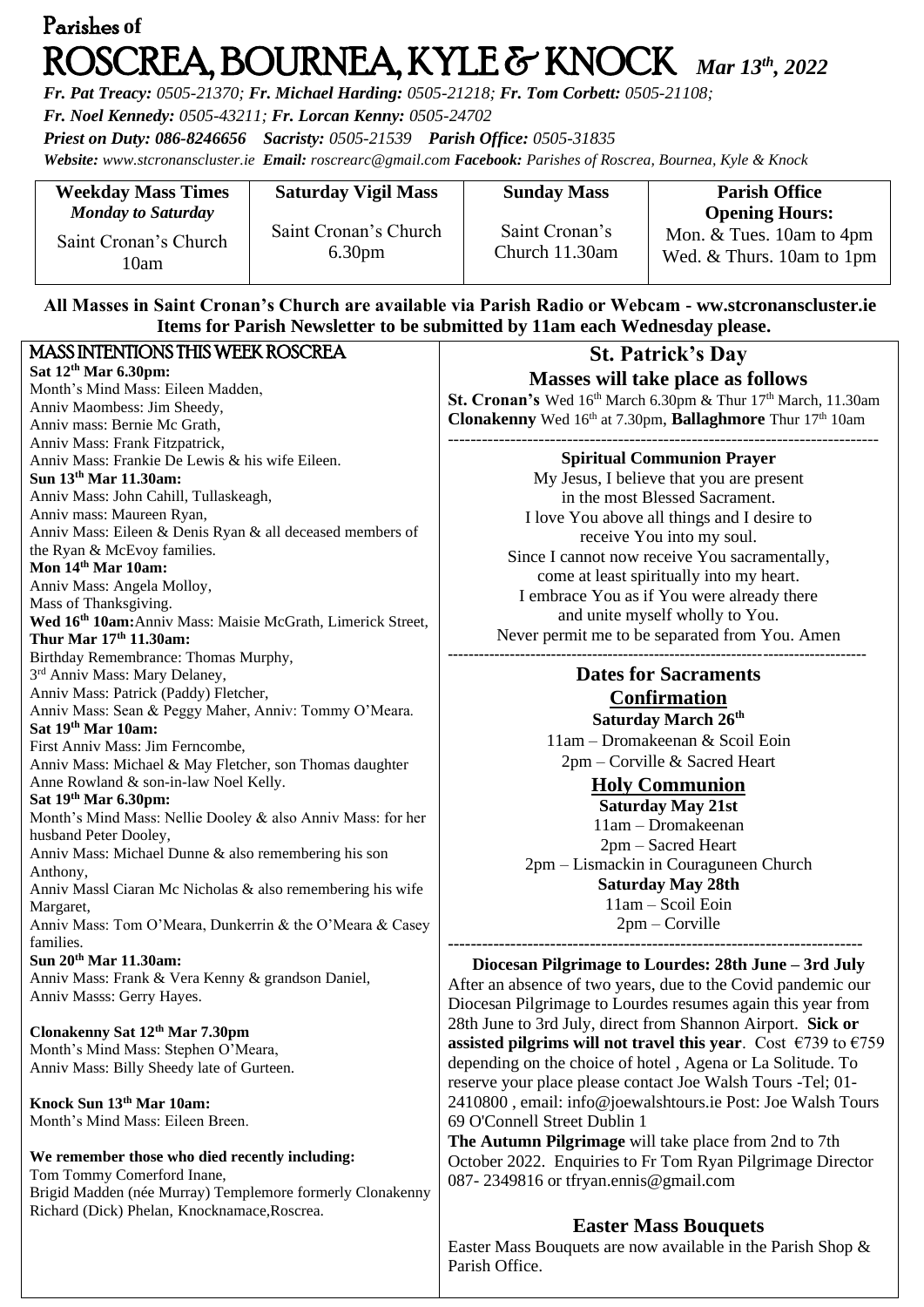# Parishes **of**  ROSCREA, BOURNEA, KYLE & KNOCK *Mar 13th , 2022*

*Fr. Pat Treacy: 0505-21370; Fr. Michael Harding: 0505-21218; Fr. Tom Corbett: 0505-21108;* 

*Fr. Noel Kennedy: 0505-43211; Fr. Lorcan Kenny: 0505-24702*

*Priest on Duty: 086-8246656 Sacristy: 0505-21539 Parish Office: 0505-31835* 

*Website: [www.stcronanscluster.ie](http://www.stcronanscluster.ie/) Email: [roscrearc@gmail.com](mailto:roscrearc@gmail.com) Facebook: Parishes of Roscrea, Bournea, Kyle & Knock* 

| <b>Weekday Mass Times</b>     | <b>Saturday Vigil Mass</b>                  | <b>Sunday Mass</b>               | <b>Parish Office</b>                                    |
|-------------------------------|---------------------------------------------|----------------------------------|---------------------------------------------------------|
| <b>Monday to Saturday</b>     |                                             |                                  | <b>Opening Hours:</b>                                   |
| Saint Cronan's Church<br>l0am | Saint Cronan's Church<br>6.30 <sub>pm</sub> | Saint Cronan's<br>Church 11.30am | Mon. $&$ Tues. 10am to 4pm<br>Wed. & Thurs. 10am to 1pm |

### **All Masses in Saint Cronan's Church are available via Parish Radio or Webcam - ww.stcronanscluster.ie Items for Parish Newsletter to be submitted by 11am each Wednesday please.**

| <b>MASS INTENTIONS THIS WEEK ROSCREA</b>                                | <b>St. Patrick's Day</b>                                                           |
|-------------------------------------------------------------------------|------------------------------------------------------------------------------------|
| Sat 12th Mar 6.30pm:                                                    | <b>Masses will take place as follows</b>                                           |
| Month's Mind Mass: Eileen Madden,                                       |                                                                                    |
| Anniv Maombess: Jim Sheedy,                                             | St. Cronan's Wed 16th March 6.30pm & Thur 17th March, 11.30am                      |
| Anniv mass: Bernie Mc Grath,                                            | Clonakenny Wed 16th at 7.30pm, Ballaghmore Thur 17th 10am                          |
| Anniv Mass: Frank Fitzpatrick,                                          |                                                                                    |
| Anniv Mass: Frankie De Lewis & his wife Eileen.                         | <b>Spiritual Communion Prayer</b>                                                  |
| Sun 13th Mar 11.30am:                                                   | My Jesus, I believe that you are present                                           |
| Anniv Mass: John Cahill, Tullaskeagh,                                   | in the most Blessed Sacrament.                                                     |
| Anniv mass: Maureen Ryan,                                               | I love You above all things and I desire to                                        |
| Anniv Mass: Eileen & Denis Ryan & all deceased members of               | receive You into my soul.                                                          |
| the Ryan & McEvoy families.                                             | Since I cannot now receive You sacramentally,                                      |
| Mon 14 <sup>th</sup> Mar 10am:                                          | come at least spiritually into my heart.                                           |
| Anniv Mass: Angela Molloy,                                              | I embrace You as if You were already there                                         |
| Mass of Thanksgiving.                                                   |                                                                                    |
| Wed 16th 10am: Anniv Mass: Maisie McGrath, Limerick Street,             | and unite myself wholly to You.                                                    |
| Thur Mar 17th 11.30am:                                                  | Never permit me to be separated from You. Amen                                     |
| Birthday Remembrance: Thomas Murphy,                                    |                                                                                    |
| 3 <sup>rd</sup> Anniv Mass: Mary Delaney,                               | <b>Dates for Sacraments</b>                                                        |
| Anniv Mass: Patrick (Paddy) Fletcher,                                   | <b>Confirmation</b>                                                                |
| Anniv Mass: Sean & Peggy Maher, Anniv: Tommy O'Meara.                   | Saturday March 26th                                                                |
| Sat 19th Mar 10am:                                                      | 11am - Dromakeenan & Scoil Eoin                                                    |
| First Anniv Mass: Jim Ferncombe,                                        | 2pm – Corville & Sacred Heart                                                      |
| Anniv Mass: Michael & May Fletcher, son Thomas daughter                 |                                                                                    |
| Anne Rowland & son-in-law Noel Kelly.                                   | <b>Holy Communion</b>                                                              |
| Sat 19th Mar 6.30pm:                                                    | <b>Saturday May 21st</b>                                                           |
| Month's Mind Mass: Nellie Dooley & also Anniv Mass: for her             | 11am - Dromakeenan                                                                 |
| husband Peter Dooley,                                                   | 2pm – Sacred Heart                                                                 |
| Anniv Mass: Michael Dunne & also remembering his son                    | 2pm – Lismackin in Couraguneen Church                                              |
| Anthony,                                                                | <b>Saturday May 28th</b>                                                           |
| Anniv Massl Ciaran Mc Nicholas & also remembering his wife<br>Margaret, | 11am - Scoil Eoin                                                                  |
| Anniv Mass: Tom O'Meara, Dunkerrin & the O'Meara & Casey                | $2pm - Corville$                                                                   |
| families.                                                               |                                                                                    |
| Sun 20th Mar 11.30am:                                                   |                                                                                    |
| Anniv Mass: Frank & Vera Kenny & grandson Daniel,                       | Diocesan Pilgrimage to Lourdes: 28th June - 3rd July                               |
| Anniv Masss: Gerry Hayes.                                               | After an absence of two years, due to the Covid pandemic our                       |
|                                                                         | Diocesan Pilgrimage to Lourdes resumes again this year from                        |
| Clonakenny Sat 12th Mar 7.30pm                                          | 28th June to 3rd July, direct from Shannon Airport. Sick or                        |
| Month's Mind Mass: Stephen O'Meara,                                     | assisted pilgrims will not travel this year. Cost $\epsilon$ 739 to $\epsilon$ 759 |
| Anniv Mass: Billy Sheedy late of Gurteen.                               | depending on the choice of hotel, Agena or La Solitude. To                         |
|                                                                         | reserve your place please contact Joe Walsh Tours -Tel; 01-                        |
| Knock Sun 13th Mar 10am:                                                | 2410800, email: info@joewalshtours.ie Post: Joe Walsh Tours                        |
| Month's Mind Mass: Eileen Breen.                                        | 69 O'Connell Street Dublin 1                                                       |
|                                                                         | The Autumn Pilgrimage will take place from 2nd to 7th                              |
| We remember those who died recently including:                          | October 2022. Enquiries to Fr Tom Ryan Pilgrimage Director                         |
| Tom Tommy Comerford Inane,                                              | 087-2349816 or tfryan.ennis@gmail.com                                              |
| Brigid Madden (née Murray) Templemore formerly Clonakenny               |                                                                                    |
| Richard (Dick) Phelan, Knocknamace, Roscrea.                            |                                                                                    |

## **Easter Mass Bouquets**

Easter Mass Bouquets are now available in the Parish Shop & Parish Office.